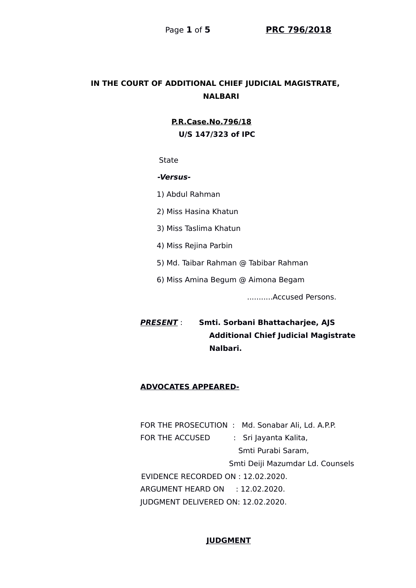# **IN THE COURT OF ADDITIONAL CHIEF JUDICIAL MAGISTRATE, NALBARI**

 **P.R.Case.No.796/18 U/S 147/323 of IPC**

**State** 

#### **-Versus-**

1) Abdul Rahman

2) Miss Hasina Khatun

3) Miss Taslima Khatun

4) Miss Rejina Parbin

5) Md. Taibar Rahman @ Tabibar Rahman

6) Miss Amina Begum @ Aimona Begam

...........Accused Persons.

**PRESENT** : **Smti. Sorbani Bhattacharjee, AJS Additional Chief Judicial Magistrate Nalbari.**

#### **ADVOCATES APPEARED-**

FOR THE PROSECUTION : Md. Sonabar Ali, Ld. A.P.P. FOR THE ACCUSED : Sri Jayanta Kalita, Smti Purabi Saram, Smti Deiji Mazumdar Ld. Counsels EVIDENCE RECORDED ON : 12.02.2020. ARGUMENT HEARD ON : 12.02.2020. JUDGMENT DELIVERED ON: 12.02.2020.

#### **JUDGMENT**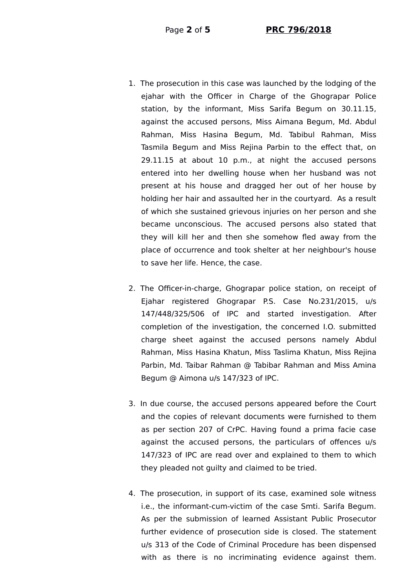- 1. The prosecution in this case was launched by the lodging of the ejahar with the Officer in Charge of the Ghograpar Police station, by the informant, Miss Sarifa Begum on 30.11.15, against the accused persons, Miss Aimana Begum, Md. Abdul Rahman, Miss Hasina Begum, Md. Tabibul Rahman, Miss Tasmila Begum and Miss Rejina Parbin to the effect that, on 29.11.15 at about 10 p.m., at night the accused persons entered into her dwelling house when her husband was not present at his house and dragged her out of her house by holding her hair and assaulted her in the courtyard. As a result of which she sustained grievous injuries on her person and she became unconscious. The accused persons also stated that they will kill her and then she somehow fled away from the place of occurrence and took shelter at her neighbour's house to save her life. Hence, the case.
- 2. The Officer-in-charge, Ghograpar police station, on receipt of Ejahar registered Ghograpar P.S. Case No.231/2015, u/s 147/448/325/506 of IPC and started investigation. After completion of the investigation, the concerned I.O. submitted charge sheet against the accused persons namely Abdul Rahman, Miss Hasina Khatun, Miss Taslima Khatun, Miss Rejina Parbin, Md. Taibar Rahman @ Tabibar Rahman and Miss Amina Begum @ Aimona u/s 147/323 of IPC.
- 3. In due course, the accused persons appeared before the Court and the copies of relevant documents were furnished to them as per section 207 of CrPC. Having found a prima facie case against the accused persons, the particulars of offences u/s 147/323 of IPC are read over and explained to them to which they pleaded not guilty and claimed to be tried.
- 4. The prosecution, in support of its case, examined sole witness i.e., the informant-cum-victim of the case Smti. Sarifa Begum. As per the submission of learned Assistant Public Prosecutor further evidence of prosecution side is closed. The statement u/s 313 of the Code of Criminal Procedure has been dispensed with as there is no incriminating evidence against them.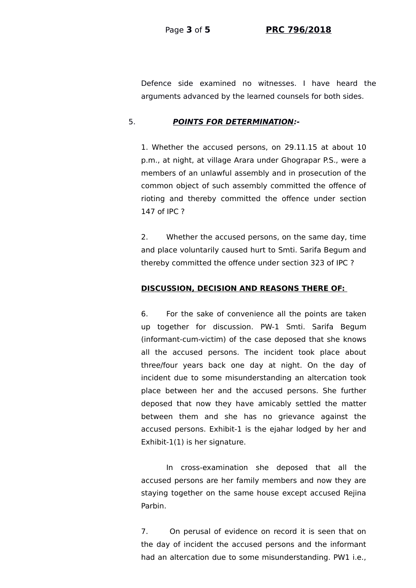Page **3** of **5 PRC 796/2018**

Defence side examined no witnesses. I have heard the arguments advanced by the learned counsels for both sides.

# 5. **POINTS FOR DETERMINATION:-**

1. Whether the accused persons, on 29.11.15 at about 10 p.m., at night, at village Arara under Ghograpar P.S., were a members of an unlawful assembly and in prosecution of the common object of such assembly committed the offence of rioting and thereby committed the offence under section 147 of IPC ?

2. Whether the accused persons, on the same day, time and place voluntarily caused hurt to Smti. Sarifa Begum and thereby committed the offence under section 323 of IPC ?

# **DISCUSSION, DECISION AND REASONS THERE OF:**

6. For the sake of convenience all the points are taken up together for discussion. PW-1 Smti. Sarifa Begum (informant-cum-victim) of the case deposed that she knows all the accused persons. The incident took place about three/four years back one day at night. On the day of incident due to some misunderstanding an altercation took place between her and the accused persons. She further deposed that now they have amicably settled the matter between them and she has no grievance against the accused persons. Exhibit-1 is the ejahar lodged by her and Exhibit-1(1) is her signature.

In cross-examination she deposed that all the accused persons are her family members and now they are staying together on the same house except accused Rejina Parbin.

7. On perusal of evidence on record it is seen that on the day of incident the accused persons and the informant had an altercation due to some misunderstanding. PW1 i.e.,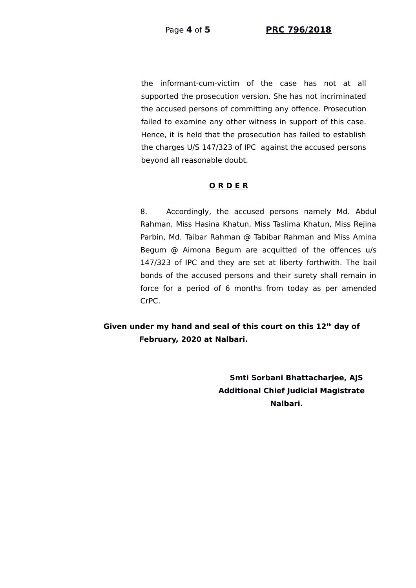the informant-cum-victim of the case has not at all supported the prosecution version. She has not incriminated the accused persons of committing any offence. Prosecution failed to examine any other witness in support of this case. Hence, it is held that the prosecution has failed to establish the charges U/S 147/323 of IPC against the accused persons beyond all reasonable doubt.

# **O R D E R**

8. Accordingly, the accused persons namely Md. Abdul Rahman, Miss Hasina Khatun, Miss Taslima Khatun, Miss Rejina Parbin, Md. Taibar Rahman @ Tabibar Rahman and Miss Amina Begum @ Aimona Begum are acquitted of the offences u/s 147/323 of IPC and they are set at liberty forthwith. The bail bonds of the accused persons and their surety shall remain in force for a period of 6 months from today as per amended CrPC.

 **Given under my hand and seal of this court on this 12th day of February, 2020 at Nalbari.**

> **Smti Sorbani Bhattacharjee, AJS Additional Chief Judicial Magistrate Nalbari.**